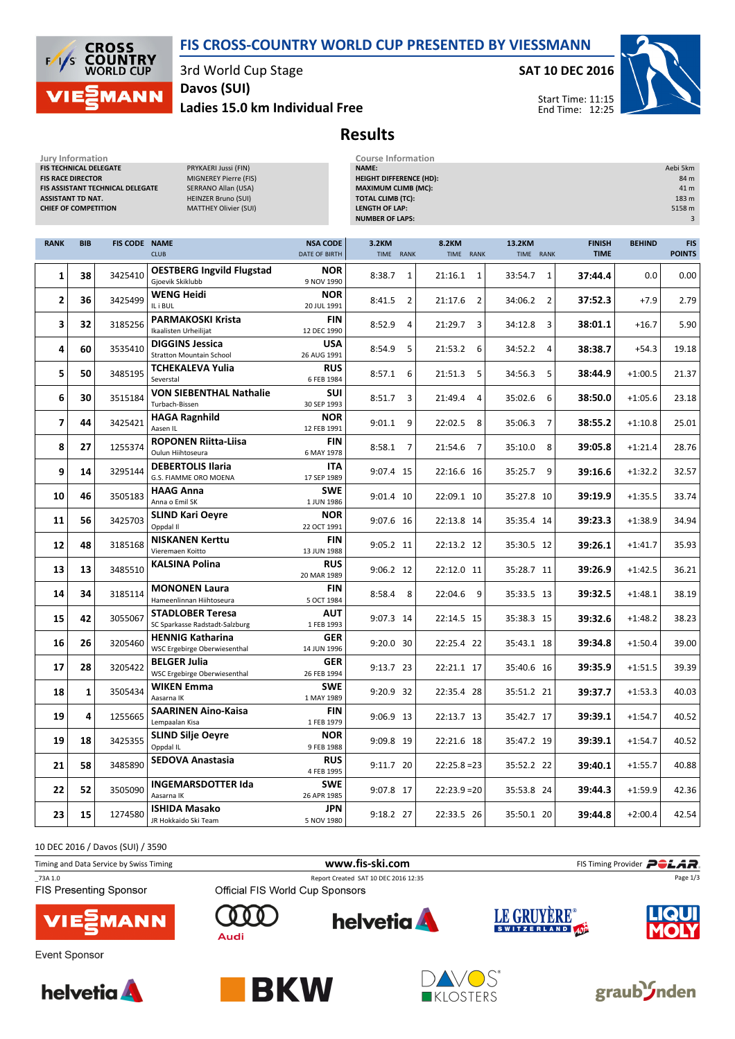# FIS CROSS-COUNTRY WORLD CUP PRESENTED BY VIESSMANN



Jury Information

3rd World Cup Stage

Ladies 15.0 km Individual Free Davos (SUI)

SAT 10 DEC 2016



Start Time: 11:15 End Time: 12:25

# Results

Jury Information Course Information

| FIS TECHNICAL DELEGATE<br><b>FIS RACE DIRECTOR</b><br><b>ASSISTANT TD NAT.</b><br><b>CHIEF OF COMPETITION</b> |            | FIS ASSISTANT TECHNICAL DELEGATE | PRYKAERI Jussi (FIN)<br>MIGNEREY Pierre (FIS)<br><b>SERRANO Allan (USA)</b><br><b>HEINZER Bruno (SUI)</b><br><b>MATTHEY Olivier (SUI)</b> |                                  | <b>NAME:</b><br><b>HEIGHT DIFFERENCE (HD):</b><br><b>MAXIMUM CLIMB (MC):</b><br><b>TOTAL CLIMB (TC):</b><br><b>LENGTH OF LAP:</b><br><b>NUMBER OF LAPS:</b> |                           |                           |                              |               |                             |
|---------------------------------------------------------------------------------------------------------------|------------|----------------------------------|-------------------------------------------------------------------------------------------------------------------------------------------|----------------------------------|-------------------------------------------------------------------------------------------------------------------------------------------------------------|---------------------------|---------------------------|------------------------------|---------------|-----------------------------|
| <b>RANK</b>                                                                                                   | <b>BIB</b> | <b>FIS CODE NAME</b>             | <b>CLUB</b>                                                                                                                               | <b>NSA CODE</b><br>DATE OF BIRTH | 3.2KM<br>TIME RANK                                                                                                                                          | <b>8.2KM</b><br>TIME RANK | 13.2KM<br>TIME RANK       | <b>FINISH</b><br><b>TIME</b> | <b>BEHIND</b> | <b>FIS</b><br><b>POINTS</b> |
| 1                                                                                                             | 38         | 3425410                          | <b>OESTBERG Ingvild Flugstad</b><br>Gjoevik Skiklubb                                                                                      | <b>NOR</b><br>9 NOV 1990         | $\mathbf{1}$<br>8:38.7                                                                                                                                      | $21:16.1$ 1               | 33:54.7<br>1              | 37:44.4                      | 0.0           | 0.00                        |
| $\overline{2}$                                                                                                | 36         | 3425499                          | <b>WENG Heidi</b><br>IL i BUL                                                                                                             | <b>NOR</b><br>20 JUL 1991        | 8:41.5<br>$\overline{2}$                                                                                                                                    | $\overline{2}$<br>21:17.6 | 34:06.2<br>$\overline{2}$ | 37:52.3                      | $+7.9$        | 2.79                        |
| 3                                                                                                             | 32         | 3185256                          | <b>PARMAKOSKI Krista</b><br>Ikaalisten Urheilijat                                                                                         | FIN<br>12 DEC 1990               | 8:52.9<br>$\overline{4}$                                                                                                                                    | 21:29.7<br>3              | 34:12.8<br>3              | 38:01.1                      | $+16.7$       | 5.90                        |
| 4                                                                                                             | 60         | 3535410                          | <b>DIGGINS Jessica</b><br><b>Stratton Mountain School</b>                                                                                 | <b>USA</b><br>26 AUG 1991        | 5<br>8:54.9                                                                                                                                                 | 21:53.2 6                 | 34:52.2<br>$\overline{4}$ | 38:38.7                      | $+54.3$       | 19.18                       |
| 5                                                                                                             | 50         | 3485195                          | TCHEKALEVA Yulia<br>Severstal                                                                                                             | <b>RUS</b><br>6 FEB 1984         | 8:57.1<br>6                                                                                                                                                 | 5<br>21:51.3              | 5<br>34:56.3              | 38:44.9                      | $+1:00.5$     | 21.37                       |
| 6                                                                                                             | 30         | 3515184                          | <b>VON SIEBENTHAL Nathalie</b><br>Turbach-Bissen                                                                                          | SUI<br>30 SEP 1993               | 8:51.7<br>3                                                                                                                                                 | 21:49.4<br>4              | 35:02.6<br>6              | 38:50.0                      | $+1:05.6$     | 23.18                       |
| 7                                                                                                             | 44         | 3425421                          | <b>HAGA Ragnhild</b><br>Aasen IL                                                                                                          | <b>NOR</b><br>12 FEB 1991        | $9:01.1$ 9                                                                                                                                                  | 8<br>22:02.5              | 35:06.3<br>7              | 38:55.2                      | $+1:10.8$     | 25.01                       |
| 8                                                                                                             | 27         | 1255374                          | <b>ROPONEN Riitta-Liisa</b><br>Oulun Hiihtoseura                                                                                          | <b>FIN</b><br>6 MAY 1978         | $8:58.1$ 7                                                                                                                                                  | 21:54.6<br>$\overline{7}$ | 35:10.0<br>8              | 39:05.8                      | $+1:21.4$     | 28.76                       |
| 9                                                                                                             | 14         | 3295144                          | <b>DEBERTOLIS Ilaria</b><br>G.S. FIAMME ORO MOENA                                                                                         | <b>ITA</b><br>17 SEP 1989        | 9:07.4 15                                                                                                                                                   | 22:16.6 16                | 35:25.7<br>9              | 39:16.6                      | $+1:32.2$     | 32.57                       |
| 10                                                                                                            | 46         | 3505183                          | <b>HAAG Anna</b><br>Anna o Emil SK                                                                                                        | <b>SWE</b><br>1 JUN 1986         | 9:01.4 10                                                                                                                                                   | 22:09.1 10                | 35:27.8 10                | 39:19.9                      | $+1:35.5$     | 33.74                       |
| 11                                                                                                            | 56         | 3425703                          | <b>SLIND Kari Oeyre</b><br>Oppdal II                                                                                                      | <b>NOR</b><br>22 OCT 1991        | 9:07.6 16                                                                                                                                                   | 22:13.8 14                | 35:35.4 14                | 39:23.3                      | $+1:38.9$     | 34.94                       |
| 12                                                                                                            | 48         | 3185168                          | <b>NISKANEN Kerttu</b><br>Vieremaen Koitto                                                                                                | <b>FIN</b><br>13 JUN 1988        | 9:05.2 11                                                                                                                                                   | 22:13.2 12                | 35:30.5 12                | 39:26.1                      | $+1:41.7$     | 35.93                       |
| 13                                                                                                            | 13         | 3485510                          | <b>KALSINA Polina</b>                                                                                                                     | <b>RUS</b><br>20 MAR 1989        | 9:06.2 12                                                                                                                                                   | 22:12.0 11                | 35:28.7 11                | 39:26.9                      | $+1:42.5$     | 36.21                       |
| 14                                                                                                            | 34         | 3185114                          | <b>MONONEN Laura</b><br>Hameenlinnan Hiihtoseura                                                                                          | FIN<br>5 OCT 1984                | 8:58.4 8                                                                                                                                                    | 22:04.6 9                 | 35:33.5 13                | 39:32.5                      | $+1:48.1$     | 38.19                       |
| 15                                                                                                            | 42         | 3055067                          | <b>STADLOBER Teresa</b><br>SC Sparkasse Radstadt-Salzburg                                                                                 | <b>AUT</b><br>1 FEB 1993         | 9:07.3 14                                                                                                                                                   | 22:14.5 15                | 35:38.3 15                | 39:32.6                      | $+1:48.2$     | 38.23                       |
| 16                                                                                                            | 26         | 3205460                          | <b>HENNIG Katharina</b><br>WSC Ergebirge Oberwiesenthal                                                                                   | GER<br>14 JUN 1996               | $9:20.0$ 30                                                                                                                                                 | 22:25.4 22                | 35:43.1 18                | 39:34.8                      | $+1:50.4$     | 39.00                       |
| 17                                                                                                            | 28         | 3205422                          | <b>BELGER Julia</b><br>WSC Ergebirge Oberwiesenthal                                                                                       | <b>GER</b><br>26 FEB 1994        | $9:13.7$ 23                                                                                                                                                 | 22:21.1 17                | 35:40.6 16                | 39:35.9                      | $+1:51.5$     | 39.39                       |
| 18                                                                                                            | 1          | 3505434                          | <b>WIKEN Emma</b><br>Aasarna IK                                                                                                           | <b>SWE</b><br>1 MAY 1989         | 9:20.9 32                                                                                                                                                   | 22:35.4 28                | 35:51.2 21                | 39:37.7                      | $+1:53.3$     | 40.03                       |
| ${\bf 19}$                                                                                                    | 4          | 1255665                          | <b>SAARINEN Aino-Kaisa</b><br>Lempaalan Kisa                                                                                              | FIN<br>1 FEB 1979                | 9:06.9 13                                                                                                                                                   | 22:13.7 13                | 35:42.7 17                | 39:39.1                      | $+1:54.7$     | 40.52                       |
| 19                                                                                                            | 18         | 3425355                          | <b>SLIND Silje Oeyre</b><br>Oppdal IL                                                                                                     | <b>NOR</b><br>9 FEB 1988         | 9:09.8 19                                                                                                                                                   | 22:21.6 18                | 35:47.2 19                | 39:39.1                      | $+1:54.7$     | 40.52                       |
| 21                                                                                                            | 58         | 3485890                          | <b>SEDOVA Anastasia</b>                                                                                                                   | <b>RUS</b><br>4 FEB 1995         | 9:11.7 20                                                                                                                                                   | $22:25.8=23$              | 35:52.2 22                | 39:40.1                      | $+1:55.7$     | 40.88                       |
| 22                                                                                                            | 52         | 3505090                          | <b>INGEMARSDOTTER Ida</b><br>Aasarna IK                                                                                                   | <b>SWE</b><br>26 APR 1985        | 9:07.8 17                                                                                                                                                   | $22:23.9=20$              | 35:53.8 24                | 39:44.3                      | $+1:59.9$     | 42.36                       |
| 23                                                                                                            | 15         | 1274580                          | <b>ISHIDA Masako</b><br>JR Hokkaido Ski Team                                                                                              | JPN<br>5 NOV 1980                | 9:18.2 27                                                                                                                                                   | 22:33.5 26                | 35:50.1 20                | 39:44.8                      | $+2:00.4$     | 42.54                       |

10 DEC 2016 / Davos (SUI) / 3590

| Timing and Data Service by Swiss Timing   |                                                  | www.fis-ski.com                      | FIS Timing Provider <b>POLAR</b> |              |  |  |
|-------------------------------------------|--------------------------------------------------|--------------------------------------|----------------------------------|--------------|--|--|
| _73A 1.0<br><b>FIS Presenting Sponsor</b> | Official FIS World Cup Sponsors                  | Report Created SAT 10 DEC 2016 12:35 |                                  | Page 1/3     |  |  |
| <b>VIESMANN</b>                           | $\begin{array}{c} 0 & 0 & 0 \end{array}$<br>Audi | <b>helvetia</b>                      | LE GRUYÈRE®                      | <b>LIQUI</b> |  |  |









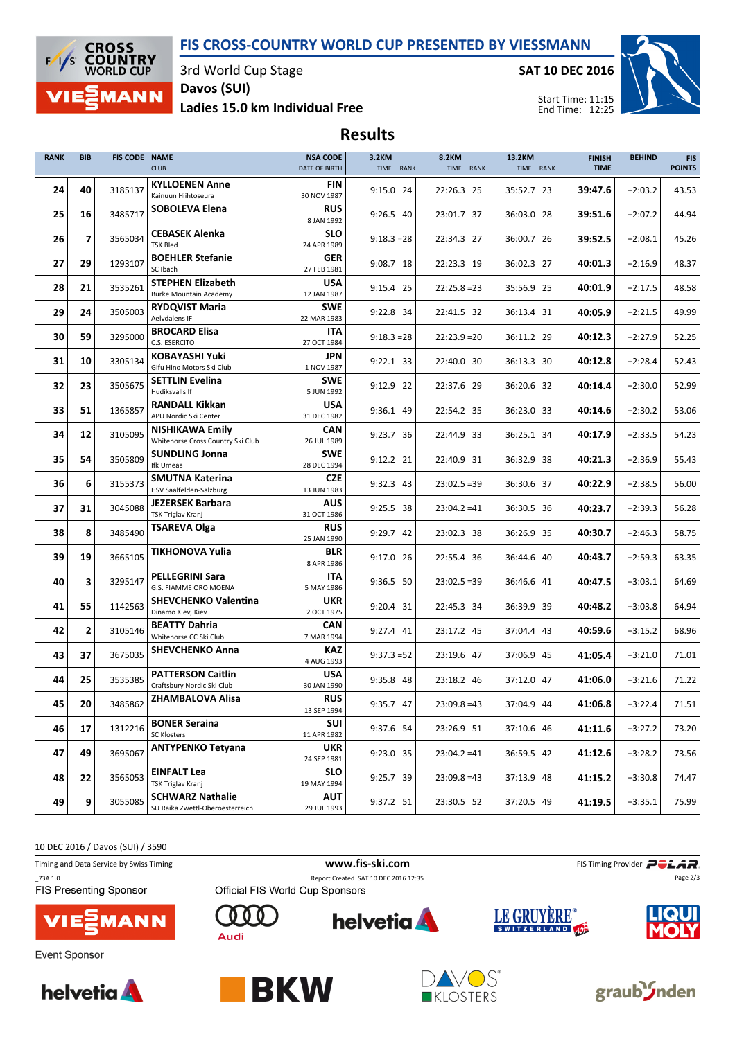## FIS CROSS-COUNTRY WORLD CUP PRESENTED BY VIESSMANN



3rd World Cup Stage

SAT 10 DEC 2016



Ladies 15.0 km Individual Free Davos (SUI)

Results

| <b>RANK</b> | <b>BIB</b>     | FIS CODE NAME | <b>CLUB</b>                                                 | <b>NSA CODE</b><br>DATE OF BIRTH | 3.2KM<br>TIME RANK | <b>8.2KM</b><br>TIME RANK | 13.2KM<br>TIME RANK | <b>FINISH</b><br><b>TIME</b> | <b>BEHIND</b> | <b>FIS</b><br><b>POINTS</b> |
|-------------|----------------|---------------|-------------------------------------------------------------|----------------------------------|--------------------|---------------------------|---------------------|------------------------------|---------------|-----------------------------|
| 24          | 40             | 3185137       | <b>KYLLOENEN Anne</b><br>Kainuun Hiihtoseura                | FIN<br>30 NOV 1987               | 9:15.0 24          | 22:26.3 25                | 35:52.7 23          | 39:47.6                      | $+2:03.2$     | 43.53                       |
| 25          | 16             | 3485717       | <b>SOBOLEVA Elena</b>                                       | <b>RUS</b><br>8 JAN 1992         | 9:26.5 40          | 23:01.7 37                | 36:03.0 28          | 39:51.6                      | $+2:07.2$     | 44.94                       |
| 26          | $\overline{7}$ | 3565034       | <b>CEBASEK Alenka</b><br><b>TSK Bled</b>                    | <b>SLO</b><br>24 APR 1989        | $9:18.3 = 28$      | 22:34.3 27                | 36:00.7 26          | 39:52.5                      | $+2:08.1$     | 45.26                       |
| 27          | 29             | 1293107       | <b>BOEHLER Stefanie</b><br>SC Ibach                         | GER<br>27 FEB 1981               | 9:08.7 18          | 22:23.3 19                | 36:02.3 27          | 40:01.3                      | $+2:16.9$     | 48.37                       |
| 28          | 21             | 3535261       | <b>STEPHEN Elizabeth</b><br><b>Burke Mountain Academy</b>   | <b>USA</b><br>12 JAN 1987        | 9:15.4 25          | $22:25.8=23$              | 35:56.9 25          | 40:01.9                      | $+2:17.5$     | 48.58                       |
| 29          | 24             | 3505003       | <b>RYDQVIST Maria</b><br>Aelvdalens IF                      | <b>SWE</b><br>22 MAR 1983        | 9:22.8 34          | 22:41.5 32                | 36:13.4 31          | 40:05.9                      | $+2:21.5$     | 49.99                       |
| 30          | 59             | 3295000       | <b>BROCARD Elisa</b><br>C.S. ESERCITO                       | <b>ITA</b><br>27 OCT 1984        | $9:18.3 = 28$      | $22:23.9=20$              | 36:11.2 29          | 40:12.3                      | $+2:27.9$     | 52.25                       |
| 31          | 10             | 3305134       | <b>KOBAYASHI Yuki</b><br>Gifu Hino Motors Ski Club          | <b>JPN</b><br>1 NOV 1987         | 9:22.1 33          | 22:40.0 30                | 36:13.3 30          | 40:12.8                      | $+2:28.4$     | 52.43                       |
| 32          | 23             | 3505675       | <b>SETTLIN Evelina</b><br>Hudiksvalls If                    | <b>SWE</b><br>5 JUN 1992         | 9:12.9 22          | 22:37.6 29                | 36:20.6 32          | 40:14.4                      | $+2:30.0$     | 52.99                       |
| 33          | 51             | 1365857       | <b>RANDALL Kikkan</b><br>APU Nordic Ski Center              | <b>USA</b><br>31 DEC 1982        | 9:36.1 49          | 22:54.2 35                | 36:23.0 33          | 40:14.6                      | $+2:30.2$     | 53.06                       |
| 34          | 12             | 3105095       | <b>NISHIKAWA Emily</b><br>Whitehorse Cross Country Ski Club | CAN<br>26 JUL 1989               | 9:23.7 36          | 22:44.9 33                | 36:25.1 34          | 40:17.9                      | $+2:33.5$     | 54.23                       |
| 35          | 54             | 3505809       | <b>SUNDLING Jonna</b><br>Ifk Umeaa                          | <b>SWE</b><br>28 DEC 1994        | 9:12.2 21          | 22:40.9 31                | 36:32.9 38          | 40:21.3                      | $+2:36.9$     | 55.43                       |
| 36          | 6              | 3155373       | <b>SMUTNA Katerina</b><br>HSV Saalfelden-Salzburg           | <b>CZE</b><br>13 JUN 1983        | 9:32.3 43          | $23:02.5=39$              | 36:30.6 37          | 40:22.9                      | $+2:38.5$     | 56.00                       |
| 37          | 31             | 3045088       | <b>JEZERSEK Barbara</b><br>TSK Triglav Kranj                | <b>AUS</b><br>31 OCT 1986        | 9:25.5 38          | $23:04.2 = 41$            | 36:30.5 36          | 40:23.7                      | $+2:39.3$     | 56.28                       |
| 38          | 8              | 3485490       | <b>TSAREVA Olga</b>                                         | <b>RUS</b><br>25 JAN 1990        | 9:29.7 42          | 23:02.3 38                | 36:26.9 35          | 40:30.7                      | $+2:46.3$     | 58.75                       |
| 39          | 19             | 3665105       | <b>TIKHONOVA Yulia</b>                                      | <b>BLR</b><br>8 APR 1986         | 9:17.0 26          | 22:55.4 36                | 36:44.6 40          | 40:43.7                      | $+2:59.3$     | 63.35                       |
| 40          | 3              | 3295147       | <b>PELLEGRINI Sara</b><br>G.S. FIAMME ORO MOENA             | <b>ITA</b><br>5 MAY 1986         | 9:36.5 50          | $23:02.5=39$              | 36:46.6 41          | 40:47.5                      | $+3:03.1$     | 64.69                       |
| 41          | 55             | 1142563       | <b>SHEVCHENKO Valentina</b><br>Dinamo Kiev, Kiev            | <b>UKR</b><br>2 OCT 1975         | 9:20.4 31          | 22:45.3 34                | 36:39.9 39          | 40:48.2                      | $+3:03.8$     | 64.94                       |
| 42          | $\mathbf{2}$   | 3105146       | <b>BEATTY Dahria</b><br>Whitehorse CC Ski Club              | <b>CAN</b><br>7 MAR 1994         | 9:27.4 41          | 23:17.2 45                | 37:04.4 43          | 40:59.6                      | $+3:15.2$     | 68.96                       |
| 43          | 37             | 3675035       | <b>SHEVCHENKO Anna</b>                                      | <b>KAZ</b><br>4 AUG 1993         | $9:37.3=52$        | 23:19.6 47                | 37:06.9 45          | 41:05.4                      | $+3:21.0$     | 71.01                       |
| 44          | 25             | 3535385       | <b>PATTERSON Caitlin</b><br>Craftsbury Nordic Ski Club      | <b>USA</b><br>30 JAN 1990        | 9:35.8 48          | 23:18.2 46                | 37:12.0 47          | 41:06.0                      | $+3:21.6$     | 71.22                       |
| 45          | 20             | 3485862       | <b>ZHAMBALOVA Alisa</b>                                     | <b>RUS</b><br>13 SEP 1994        | 9:35.7 47          | $23:09.8=43$              | 37:04.9 44          | 41:06.8                      | $+3:22.4$     | 71.51                       |
| 46          | 17             | 1312216       | <b>BONER Seraina</b><br><b>SC Klosters</b>                  | <b>SUI</b><br>11 APR 1982        | 9:37.6 54          | 23:26.9 51                | 37:10.6 46          | 41:11.6                      | $+3:27.2$     | 73.20                       |
| 47          | 49             | 3695067       | <b>ANTYPENKO Tetyana</b>                                    | <b>UKR</b><br>24 SEP 1981        | 9:23.0 35          | $23:04.2 = 41$            | 36:59.5 42          | 41:12.6                      | $+3:28.2$     | 73.56                       |
| 48          | 22             | 3565053       | <b>EINFALT Lea</b><br>TSK Triglav Kranj                     | <b>SLO</b><br>19 MAY 1994        | 9:25.7 39          | $23:09.8=43$              | 37:13.9 48          | 41:15.2                      | $+3:30.8$     | 74.47                       |
| 49          | 9              | 3055085       | <b>SCHWARZ Nathalie</b><br>SU Raika Zwettl-Oberoesterreich  | AUT<br>29 JUL 1993               | 9:37.2 51          | 23:30.5 52                | 37:20.5 49          | 41:19.5                      | $+3:35.1$     | 75.99                       |

10 DEC 2016 / Davos (SUI) / 3590

| Timing and Data Service by Swiss Timing  |                                 | www.fis-ski.com                      |             | FIS Timing Provider <b>POLAR</b> . |  |  |
|------------------------------------------|---------------------------------|--------------------------------------|-------------|------------------------------------|--|--|
| 73A 1.0<br><b>FIS Presenting Sponsor</b> | Official FIS World Cup Sponsors | Report Created SAT 10 DEC 2016 12:35 |             | Page 2/3                           |  |  |
| <b>VIE</b> MANN                          | Audi                            | <b>helvetia</b>                      | LE GRUYERE® | LIQUI                              |  |  |
| Event Sponsor                            |                                 |                                      |             |                                    |  |  |